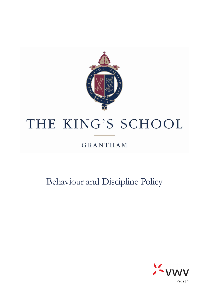

# THE KING'S SCHOOL

### **GRANTHAM**

## Behaviour and Discipline Policy



Page | 1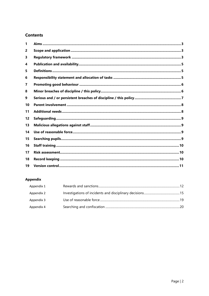#### **Contents**

| 1  |  |
|----|--|
| 2  |  |
| 3  |  |
| 4  |  |
| 5  |  |
| 6  |  |
| 7  |  |
| 8  |  |
| 9  |  |
| 10 |  |
| 11 |  |
| 12 |  |
| 13 |  |
| 14 |  |
| 15 |  |
| 16 |  |
| 17 |  |
| 18 |  |
| 19 |  |

#### Appendix

<span id="page-1-0"></span>

| Appendix 1 |  |
|------------|--|
| Appendix 2 |  |
| Appendix 3 |  |
| Appendix 4 |  |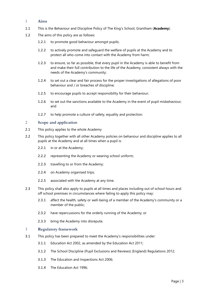#### 1 **Aims**

- 1.1 This is the Behaviour and Discipline Policy of The King's School, Grantham (**Academy**).
- 1.2 The aims of this policy are as follows:
	- 1.2.1 to promote good behaviour amongst pupils;
	- 1.2.2 to actively promote and safeguard the welfare of pupils at the Academy and to protect all who come into contact with the Academy from harm;
	- 1.2.3 to ensure, so far as possible, that every pupil in the Academy is able to benefit from and make their full contribution to the life of the Academy, consistent always with the needs of the Academy's community;
	- 1.2.4 to set out a clear and fair process for the proper investigations of allegations of poor behaviour and / or breaches of discipline;
	- 1.2.5 to encourage pupils to accept responsibility for their behaviour;
	- 1.2.6 to set out the sanctions available to the Academy in the event of pupil misbehaviour; and
	- 1.2.7 to help promote a culture of safety, equality and protection.

#### <span id="page-2-0"></span>2 **Scope and application**

- 2.1 This policy applies to the whole Academy
- 2.2 This policy together with all other Academy policies on behaviour and discipline applies to all pupils at the Academy and at all times when a pupil is:
	- 2.2.1 in or at the Academy;
	- 2.2.2 representing the Academy or wearing school uniform;
	- 2.2.3 travelling to or from the Academy;
	- 2.2.4 on Academy organised trips;
	- 2.2.5 associated with the Academy at any time.
- 2.3 This policy shall also apply to pupils at all times and places including out of school hours and off school premises in circumstances where failing to apply this policy may:
	- 2.3.1 affect the health, safety or well-being of a member of the Academy's community or a member of the public;
	- 2.3.2 have repercussions for the orderly running of the Academy; or
	- 2.3.3 bring the Academy into disrepute.

#### <span id="page-2-1"></span>3 **Regulatory framework**

- 3.1 This policy has been prepared to meet the Academy's responsibilities under:
	- 3.1.1 Education Act 2002, as amended by the Education Act 2011;
	- 3.1.2 The School Discipline (Pupil Exclusions and Reviews) (England) Regulations 2012;
	- 3.1.3 The Education and Inspections Act 2006;
	- 3.1.4 The Education Act 1996;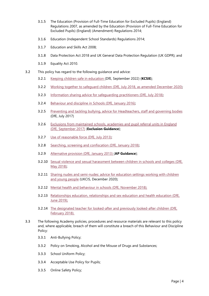- 3.1.5 The Education (Provision of Full-Time Education for Excluded Pupils) (England) Regulations 2007, as amended by the Education (Provision of Full-Time Education for Excluded Pupils) (England) (Amendment) Regulations 2014;
- 3.1.6 Education (Independent School Standards) Regulations 2014;
- 3.1.7 Education and Skills Act 2008;
- 3.1.8 Data Protection Act 2018 and UK General Data Protection Regulation (UK GDPR); and
- 3.1.9 Equality Act 2010.
- 3.2 This policy has regard to the following guidance and advice:
	- 3.2.1 Keeping children safe in [education](https://www.gov.uk/government/publications/keeping-children-safe-in-education--2) (DfE, September 2022) (**KCSIE**);
	- 3.2.2 Working together to safeguard children (DfE, July 2018, as amended [December](https://www.gov.uk/government/publications/working-together-to-safeguard-children--2) 2020);
	- 3.2.3 Information sharing advice for [safeguarding](https://www.gov.uk/government/publications/safeguarding-practitioners-information-sharing-advice) practitioners (DfE, July 2018);
	- 3.2.4 [Behaviour](https://www.gov.uk/government/publications/behaviour-and-discipline-in-schools) and discipline in Schools (DfE, January 2016);
	- 3.2.5 Preventing and tackling bullying, advice for [Headteachers,](https://www.gov.uk/government/publications/preventing-and-tackling-bullying) staff and governing bodies (DfE, July 2017)
	- 3.2.6 Exclusions from [maintained](https://www.gov.uk/government/publications/school-exclusion) schools, academies and pupil referral units in England (DfE, [September](https://www.gov.uk/government/publications/school-exclusion) 2017) (**Exclusion Guidance**);
	- 3.2.7 Use of [reasonable](https://www.gov.uk/government/publications/use-of-reasonable-force-in-schools) force (DfE, July 2013);
	- 3.2.8 Searching, screening and [confiscation](https://www.gov.uk/government/publications/searching-screening-and-confiscation) (DfE, January 2018);
	- 3.2.9 [Alternative](https://www.gov.uk/government/publications/alternative-provision) provision (DfE, January 2013) (**AP Guidance**);
	- 3.2.10 Sexual violence and sexual [harassment](https://www.gov.uk/government/publications/sexual-violence-and-sexual-harassment-between-children-in-schools-and-colleges) between children in schools and colleges (DfE, May [2018\);](https://www.gov.uk/government/publications/sexual-violence-and-sexual-harassment-between-children-in-schools-and-colleges)
	- 3.2.11 Sharing nudes and [semi-nudes:](https://www.gov.uk/government/publications/sharing-nudes-and-semi-nudes-advice-for-education-settings-working-with-children-and-young-people/sharing-nudes-and-semi-nudes-advice-for-education-settings-working-with-children-and-young-people) advice for education settings working with children and young [people](https://www.gov.uk/government/publications/sharing-nudes-and-semi-nudes-advice-for-education-settings-working-with-children-and-young-people/sharing-nudes-and-semi-nudes-advice-for-education-settings-working-with-children-and-young-people) (UKCIS, December 2020);
	- 3.2.12 Mental health and behaviour in schools (DfE, [November](https://www.gov.uk/government/publications/mental-health-and-behaviour-in-schools--2) 2018);
	- 3.2.13 [Relationships](https://www.gov.uk/government/publications/relationships-education-relationships-and-sex-education-rse-and-health-education) education, relationships and sex education and health education (DfE, June [2019\);](https://www.gov.uk/government/publications/relationships-education-relationships-and-sex-education-rse-and-health-education)
	- 3.2.14 The designated teacher for [looked-after](https://www.gov.uk/government/publications/designated-teacher-for-looked-after-children) and previously looked-after children (DfE, [February](https://www.gov.uk/government/publications/designated-teacher-for-looked-after-children) 2018).
- 3.3 The following Academy policies, procedures and resource materials are relevant to this policy and, where applicable, breach of them will constitute a breach of this Behaviour and Discipline Policy:
	- 3.3.1 Anti-Bullying Policy;
	- 3.3.2 Policy on Smoking, Alcohol and the Misuse of Drugs and Substances;
	- 3.3.3 School Uniform Policy;
	- 3.3.4 Acceptable Use Policy for Pupils;
	- 3.3.5 Online Safety Policy;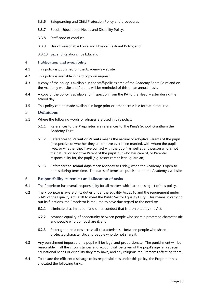- 3.3.6 Safeguarding and Child Protection Policy and procedures;
- 3.3.7 Special Educational Needs and Disability Policy;
- 3.3.8 Staff code of conduct;
- 3.3.9 Use of Reasonable Force and Physical Restraint Policy; and
- 3.3.10 Sex and Relationships Education

#### <span id="page-4-0"></span>4 **Publication and availability**

- 4.1 This policy is published on the Academy's website.
- 4.2 This policy is available in hard copy on request.
- 4.3 A copy of the policy is available in the staff/policies area of the Academy Share Point and on the Academy website and Parents will be reminded of this on an annual basis.
- 4.4 A copy of the policy is available for inspection from the PA to the Head Master during the school day.
- 4.5 This policy can be made available in large print or other accessible format if required.

#### <span id="page-4-1"></span>5 **Definitions**

- 5.1 Where the following words or phrases are used in this policy:
	- 5.1.1 References to the **Proprietor** are references to The King's School, Grantham the Academy Trust.
	- 5.1.2 References to **Parent** or **Parents** means the natural or adoptive Parents of the pupil (irrespective of whether they are or have ever been married, with whom the pupil lives, or whether they have contact with the pupil) as well as any person who is not the natural or adoptive Parent of the pupil, but who has care of, or Parental responsibility for, the pupil (e.g. foster carer / legal guardian).
	- 5.1.3 References to **school days** mean Monday to Friday, when the Academy is open to pupils during term time. The dates of terms are published on the Academy's website.

#### <span id="page-4-2"></span>6 **Responsibility statement and allocation of tasks**

- 6.1 The Proprietor has overall responsibility for all matters which are the subject of this policy.
- 6.2 The Proprietor is aware of its duties under the Equality Act 2010 and the requirement under S.149 of the Equality Act 2010 to meet the Public Sector Equality Duty. This means in carrying out its functions, the Proprietor is required to have due regard to the need to:
	- 6.2.1 eliminate discrimination and other conduct that is prohibited by the Act;
	- 6.2.2 advance equality of opportunity between people who share a protected characteristic and people who do not share it; and
	- 6.2.3 foster good relations across all characteristics between people who share a protected characteristic and people who do not share it.
- 6.3 Any punishment imposed on a pupil will be legal and proportionate. The punishment will be reasonable in all the circumstances and account will be taken of the pupil's age, any special educational needs or disability they may have, and any religious requirements affecting them.
- 6.4 To ensure the efficient discharge of its responsibilities under this policy, the Proprietor has allocated the following tasks: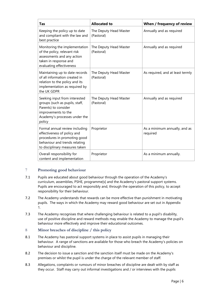| <b>Tas</b>                                                                                                                                                       | <b>Allocated to</b>                  | When / frequency of review                |
|------------------------------------------------------------------------------------------------------------------------------------------------------------------|--------------------------------------|-------------------------------------------|
| Keeping the policy up to date<br>and compliant with the law and<br>best practice                                                                                 | The Deputy Head Master<br>(Pastoral) | Annually and as required                  |
| Monitoring the implementation<br>of the policy, relevant risk<br>assessments and any action<br>taken in response and<br>evaluating effectiveness                 | The Deputy Head Master<br>(Pastoral) | Annually and as required                  |
| Maintaining up to date records<br>of all information created in<br>relation to the policy and its<br>implementation as required by<br>the UK GDPR                | The Deputy Head Master<br>(Pastoral) | As required, and at least termly          |
| Seeking input from interested<br>groups (such as pupils, staff,<br>Parents) to consider<br>improvements to the<br>Academy's processes under the<br>policy        | The Deputy Head Master<br>(Pastoral) | Annually and as required                  |
| Formal annual review including<br>effectiveness of policy and<br>procedures in promoting good<br>behaviour and trends relating<br>to disciplinary measures taken | Proprietor                           | As a minimum annually, and as<br>required |
| Overall responsibility for<br>content and implementation                                                                                                         | Proprietor                           | As a minimum annually.                    |

#### <span id="page-5-0"></span>7 **Promoting good behaviour**

- 7.1 Pupils are educated about good behaviour through the operation of the Academy's curriculum, assemblies, PSHE, programme[s] and the Academy's pastoral support systems. Pupils are encouraged to act responsibly and, through the operation of this policy, to accept responsibility for their behaviour.
- 7.2 The Academy understands that rewards can be more effective than punishment in motivating pupils. The ways in which the Academy may reward good behaviour are set out in [Appendix](#page-11-0)  [1.](#page-11-0)
- 7.3 The Academy recognises that where challenging behaviour is related to a pupil's disability, use of positive discipline and reward methods may enable the Academy to manage the pupil's behaviour more effectively and improve their educational outcomes.

#### <span id="page-5-1"></span>8 **Minor breaches of discipline / this policy**

- 8.1 The Academy has pastoral support systems in place to assist pupils in managing their behaviour. A range of sanctions are available for those who breach the Academy's policies on behaviour and discipline.
- 8.2 The decision to issue a sanction and the sanction itself must be made on the Academy's premises or whilst the pupil is under the charge of the relevant member of staff.
- 8.3 Allegations, complaints or rumours of minor breaches of discipline are dealt with by staff as they occur. Staff may carry out informal investigations and / or interviews with the pupils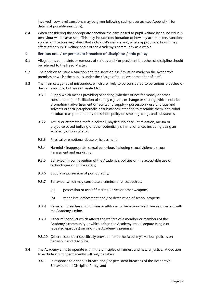involved. Low level sanctions may be given following such processes (see [Appendix 1](#page-11-0) for details of possible sanctions).

- 8.4 When considering the appropriate sanction, the risks posed to pupil welfare by an individual's behaviour will be assessed. This may include consideration of how any action taken, sanctions applied or inaction may affect that individual's welfare and, where appropriate, how it may affect other pupils' welfare and / or the Academy's community as a whole.
- <span id="page-6-0"></span>9 **Serious and / or persistent breaches of discipline / this policy**
- 9.1 Allegations, complaints or rumours of serious and / or persistent breaches of discipline should be referred to the Head Master.
- 9.2 The decision to issue a sanction and the sanction itself must be made on the Academy's premises or whilst the pupil is under the charge of the relevant member of staff.
- <span id="page-6-2"></span>9.3 The main categories of misconduct which are likely to be considered to be serious breaches of discipline include, but are not limited to:
	- 9.3.1 Supply which means providing or sharing (whether or not for money or other consideration) or facilitation of supply e.g. sale, exchange or sharing (which includes promotion / advertisement or facilitating supply) / possession / use of drugs and solvents or their paraphernalia or substances intended to resemble them, or alcohol or tobacco as prohibited by the school policy on smoking, drugs and substances;
	- 9.3.2 Actual or attempted theft, blackmail, physical violence, intimidation, racism or prejudice based bullying or other potentially criminal offences including being an accessory or conspirator;
	- 9.3.3 Physical or emotional abuse or harassment;
	- 9.3.4 Harmful / inappropriate sexual behaviour, including sexual violence, sexual harassment and upskirting;
	- 9.3.5 Behaviour in contravention of the Academy's policies on the acceptable use of technologies or online safety;
	- 9.3.6 Supply or possession of pornography;
	- 9.3.7 Behaviour which may constitute a criminal offence, such as:
		- (a) possession or use of firearms, knives or other weapons;
		- (b) vandalism, defacement and / or destruction of school property
	- 9.3.8 Persistent breaches of discipline or attitudes or behaviour which are inconsistent with the Academy's ethos;
	- 9.3.9 Other misconduct which affects the welfare of a member or members of the Academy's community or which brings the Academy into disrepute (single or repeated episodes) on or off the Academy's premises;
	- 9.3.10 Other misconduct specifically provided for in the Academy's various policies on behaviour and discipline.
- <span id="page-6-1"></span>9.4 The Academy aims to operate within the principles of fairness and natural justice. A decision to exclude a pupil permanently will only be taken:
	- 9.4.1 in response to a serious breach and / or persistent breaches of the Academy's Behaviour and Discipline Policy; and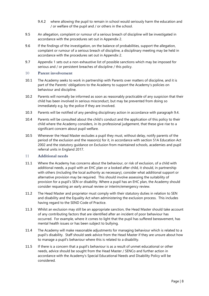- 9.4.2 where allowing the pupil to remain in school would seriously harm the education and / or welfare of the pupil and / or others in the school.
- 9.5 An allegation, complaint or rumour of a serious breach of discipline will be investigated in accordance with the procedures set out in [Appendix 2.](#page-14-0)
- 9.6 If the findings of the investigation, on the balance of probabilities, support the allegation, complaint or rumour of a serious breach of discipline, a disciplinary meeting may be held in accordance with the procedures set out in [Appendix 2.](#page-14-0)
- 9.7 [Appendix 1](#page-11-0) sets out a non-exhaustive list of possible sanctions which may be imposed for serious and / or persistent breaches of discipline / this policy.

#### <span id="page-7-0"></span>10 **Parent involvement**

- 10.1 The Academy seeks to work in partnership with Parents over matters of discipline, and it is part of the Parents' obligations to the Academy to support the Academy's policies on behaviour and discipline.
- 10.2 Parents will normally be informed as soon as reasonably practicable of any suspicion that their child has been involved in serious misconduct, but may be prevented from doing so immediately e.g. by the police if they are involved.
- 10.3 Parents will be notified of any pending disciplinary action in accordance with paragraph [9.4.](#page-6-1)
- 10.4 Parents will be consulted about the child's conduct and the application of this policy to their child where the Academy considers, in its professional judgement, that these give rise to a significant concern about pupil welfare.
- 10.5 Whenever the Head Master excludes a pupil they must, without delay, notify parents of the period of the exclusion and the reason(s) for it, in accordance with section 51A Education Act 2002 and the statutory guidance on Exclusion from maintained schools, academies and pupil referral units in England 2017.

#### <span id="page-7-1"></span>11 **Additional needs**

- 11.1 Where the Academy has concerns about the behaviour, or risk of exclusion, of a child with additional needs, a pupil with an EHC plan or a looked after child, it should, in partnership with others (including the local authority as necessary), consider what additional support or alternative provision may be required. This should involve assessing the suitability of provision for a pupil's SEN or disability. Where a pupil has an EHC plan, the Academy should consider requesting an early annual review or interim/emergency review.
- 11.2 The Head Master and proprietor must comply with their statutory duties in relation to SEN and disability and the Equality Act when administering the exclusion process. This includes having regard to the SEND Code of Practice.
- 11.3 Whilst an exclusion may still be an appropriate sanction, the Head Master should take account of any contributing factors that are identified after an incident of poor behaviour has occurred. For example, where it comes to light that the pupil has suffered bereavement, has mental health issues or has been subject to bullying.
- 11.4 The Academy will make reasonable adjustments for managing behaviour which is related to a pupil's disability. Staff should seek advice from the Head Master if they are unsure about how to manage a pupil's behaviour where this is related to a disability.
- 11.5 If there is a concern that a pupil's behaviour is as a result of unmet educational or other needs, advice should be sought from the Head Master / SENCo and further action in accordance with the Academy's Special Educational Needs and Disability Policy will be considered.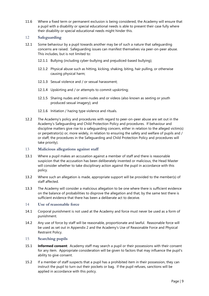11.6 Where a fixed term or permanent exclusion is being considered, the Academy will ensure that a pupil with a disability or special educational needs is able to present their case fully where their disability or special educational needs might hinder this.

#### <span id="page-8-0"></span>12 **Safeguarding**

- 12.1 Some behaviour by a pupil towards another may be of such a nature that safeguarding concerns are raised. Safeguarding issues can manifest themselves via peer-on-peer abuse. This includes, but is not limited to:
	- 12.1.1 Bullying (including cyber-bullying and prejudiced-based bullying);
	- 12.1.2 Physical abuse such as hitting, kicking, shaking, biting, hair pulling, or otherwise causing physical harm;
	- 12.1.3 Sexual violence and / or sexual harassment;
	- 12.1.4 Upskirting and / or attempts to commit upskirting;
	- 12.1.5 Sharing nudes and semi-nudes and or videos (also known as sexting or youth produced sexual imagery); and
	- 12.1.6 Initiation / hazing type violence and rituals.
- 12.2 The Academy's policy and procedures with regard to peer-on-peer abuse are set out in the Academy's Safeguarding and Child Protection Policy and procedures. If behaviour and discipline matters give rise to a safeguarding concern, either in relation to the alleged victim(s) or perpetrator(s) or, more widely, in relation to ensuring the safety and welfare of pupils and / or staff, the procedures in the Safeguarding and Child Protection Policy and procedures will take priority).

#### <span id="page-8-1"></span>13 **Malicious allegations against staff**

- 13.1 Where a pupil makes an accusation against a member of staff and there is reasonable suspicion that the accusation has been deliberately invented or malicious, the Head Master will consider whether to take disciplinary action against the pupil in accordance with this policy.
- 13.2 Where such an allegation is made, appropriate support will be provided to the member(s) of staff affected.
- 13.3 The Academy will consider a malicious allegation to be one where there is sufficient evidence on the balance of probabilities to disprove the allegation and that, by the same test there is sufficient evidence that there has been a deliberate act to deceive.

#### <span id="page-8-2"></span>14 **Use of reasonable force**

- 14.1 Corporal punishment is not used at the Academy and force must never be used as a form of punishment.
- 14.2 Any use of force by staff will be reasonable, proportionate and lawful. Reasonable force will be used as set out in [Appendix 2](#page-14-0) and the Academy's Use of Reasonable Force and Physical Restraint Policy.

#### <span id="page-8-3"></span>15 **Searching pupils**

- 15.1 **Informed consent**: Academy staff may search a pupil or their possessions with their consent for any item. Appropriate consideration will be given to factors that may influence the pupil's ability to give consent.
- 15.2 If a member of staff suspects that a pupil has a prohibited item in their possession, they can instruct the pupil to turn out their pockets or bag. If the pupil refuses, sanctions will be applied in accordance with this policy.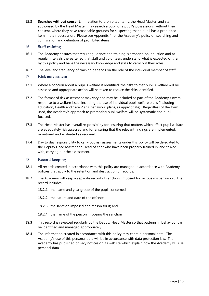15.3 **Searches without consent**: in relation to prohibited items, the Head Master, and staff authorised by the Head Master, may search a pupil or a pupil's possessions, without their consent, where they have reasonable grounds for suspecting that a pupil has a prohibited item in their possession. Please see [Appendix 4](#page-19-0) for the Academy's policy on searching and confiscation and definition of prohibited items.

#### <span id="page-9-0"></span>16 **Staff training**

- 16.1 The Academy ensures that regular guidance and training is arranged on induction and at regular intervals thereafter so that staff and volunteers understand what is expected of them by this policy and have the necessary knowledge and skills to carry out their roles.
- 16.2 The level and frequency of training depends on the role of the individual member of staff.

#### <span id="page-9-1"></span>17 **Risk assessment**

- 17.1 Where a concern about a pupil's welfare is identified, the risks to that pupil's welfare will be assessed and appropriate action will be taken to reduce the risks identified.
- 17.2 The format of risk assessment may vary and may be included as part of the Academy's overall response to a welfare issue, including the use of individual pupil welfare plans (including Education, Health and Care Plans, behaviour plans, as appropriate). Regardless of the form used, the Academy's approach to promoting pupil welfare will be systematic and pupil focused.
- 17.3 The Head Master has overall responsibility for ensuring that matters which affect pupil welfare are adequately risk assessed and for ensuring that the relevant findings are implemented, monitored and evaluated as required.
- 17.4 Day to day responsibility to carry out risk assessments under this policy will be delegated to the Deputy Head Master and Head of Year who have been properly trained in, and tasked with, carrying out the assessment.

#### <span id="page-9-2"></span>18 **Record keeping**

- 18.1 All records created in accordance with this policy are managed in accordance with Academy policies that apply to the retention and destruction of records.
- 18.2 The Academy will keep a separate record of sanctions imposed for serious misbehaviour. The record includes:
	- 18.2.1 the name and year group of the pupil concerned;
	- 18.2.2 the nature and date of the offence;
	- 18.2.3 the sanction imposed and reason for it; and
	- 18.2.4 the name of the person imposing the sanction
- 18.3 This record is reviewed regularly by the Deputy Head Master so that patterns in behaviour can be identified and managed appropriately.
- 18.4 The information created in accordance with this policy may contain personal data. The Academy's use of this personal data will be in accordance with data protection law. The Academy has published privacy notices on its website which explain how the Academy will use personal data.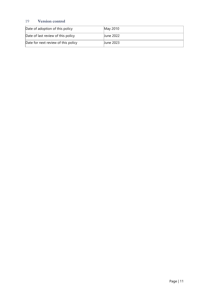#### <span id="page-10-0"></span>19 **Version control**

| Date of adoption of this policy     | May 2010  |
|-------------------------------------|-----------|
| Date of last review of this policy  | June 2022 |
| Date for next review of this policy | June 2023 |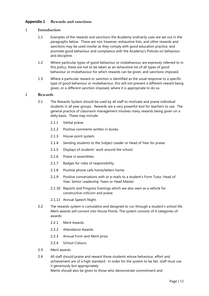#### <span id="page-11-0"></span>**Appendix 1 Rewards and sanctions**

#### 1 **Introduction**

- 1.1 Examples of the rewards and sanctions the Academy ordinarily uses are set out in the paragraphs below. These are not, however, exhaustive lists, and other rewards and sanctions may be used insofar as they comply with good education practice, and promote good behaviour and compliance with the Academy's Policies on behaviour and discipline.
- 1.2 Where particular types of good behaviour or misbehaviour are expressly referred to in this policy, these are not to be taken as an exhaustive list of all types of good behaviour or misbehaviour for which rewards can be given, and sanctions imposed.
- 1.3 Where a particular reward or sanction is identified as the usual response to a specific type of good behaviour or misbehaviour, this will not prevent a different reward being given, or a different sanction imposed, where it is appropriate to do so.

#### 2 **Rewards**

- 2.1 The Rewards System should be used by all staff to motivate and praise individual students in all year groups. Rewards are a very powerful tool for teachers to use. The general practice of classroom management involves many rewards being given on a daily basis. These may include:
	- 2.1.1 Verbal praise.
	- 2.1.2 Positive comments written in books.
	- 2.1.3 House-point system.
	- 2.1.4 Sending students to the Subject Leader or Head of Year for praise.
	- 2.1.5 Displays of students' work around the school.
	- 2.1.6 Praise in assemblies.
	- 2.1.7 Badges for roles of responsibility.
	- 2.1.8 Positive phone calls home/letters home.
	- 2.1.9 Positive conversations with or e-mails to a student's Form Tutor, Head of Year, Senior Leadership Team or Head Master.
	- 2.1.10 Reports and Progress Evenings which are also seen as a vehicle for constructive criticism and praise.
	- 2.1.11 Annual Speech Night.
- 2.2 The rewards system is cumulative and designed to run through a student's school life. Merit awards will convert into House Points. The system consists of 4 categories of awards:
	- 2.2.1 Merit Awards
	- 2.2.2 Attendance Awards.
	- 2.2.3 Annual Form and Merit prize.
	- 2.2.4 School Colours.
- 2.3 Merit awards
- 2.4 All staff should praise and reward those students whose behaviour, effort and achievement are of a high standard. In order for the system to be fair, staff must use it generously but appropriately.

Merits should also be given to those who demonstrate commitment and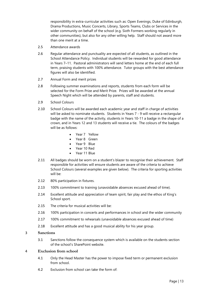responsibility in extra-curricular activities such as: Open Evenings, Duke of Edinburgh, Drama Productions, Music Concerts, Library, Sports Teams, Clubs or Services in the wider community on behalf of the school (e.g. Sixth Formers working regularly in other communities), but also for any other willing help. Staff should not award more than one merit at a time.

- 2.5 Attendance awards
- 2.6 Regular attendance and punctuality are expected of all students, as outlined in the School Attendance Policy. Individual students will be rewarded for good attendance in Years 7–11. Pastoral administrators will send letters home at the end of each full term, praising students with 100% attendance. Tutor groups with the best attendance figures will also be identified.
- 2.7 Annual Form and merit prizes
- 2.8 Following summer examinations and reports, students from each form will be selected for the Form Prize and Merit Prize. Prizes will be awarded at the annual Speech Night which will be attended by parents, staff and students.
- 2.9 School Colours
- 2.10 School Colours will be awarded each academic year and staff in charge of activities will be asked to nominate students. Students in Years 7 - 9 will receive a rectangular badge with the name of the activity, students in Years 10-11 a badge in the shape of a crown, and in Years 12 and 13 students will receive a tie. The colours of the badges will be as follows:
	- Year 7 Yellow
	- Year 8 Green
	- Year 9 Blue
	- Year 10 Red
	- Year 11 Blue
- 2.11 All badges should be worn on a student's blazer to recognise their achievement. Staff responsible for activities will ensure students are aware of the criteria to achieve School Colours (several examples are given below). The criteria for sporting activities will be:
- 2.12 80% participation in fixtures.
- 2.13 100% commitment to training (unavoidable absences excused ahead of time).
- 2.14 Excellent attitude and appreciation of team spirit, fair play and the ethos of King's School sport.
- 2.15 The criteria for musical activities will be:
- 2.16 100% participation in concerts and performances in school and the wider community
- 2.17 100% commitment to rehearsals (unavoidable absences excused ahead of time)
- 2.18 Excellent attitude and has a good musical ability for his year group.

#### 3 **Sanctions**

3.1 Sanctions follow the consequence system which is available on the students section of the school's SharePoint website.

#### 4 **Exclusion from school**

- 4.1 Only the Head Master has the power to impose fixed term or permanent exclusion from school.
- 4.2 Exclusion from school can take the form of: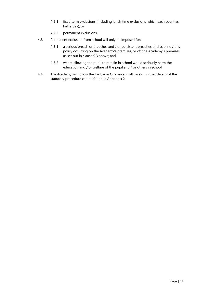- 4.2.1 fixed term exclusions (including lunch time exclusions, which each count as half a day); or
- 4.2.2 permanent exclusions.
- 4.3 Permanent exclusion from school will only be imposed for:
	- 4.3.1 a serious breach or breaches and / or persistent breaches of discipline / this policy occurring on the Academy's premises, or off the Academy's premises as set out in clause [9.3](#page-6-2) above; and
	- 4.3.2 where allowing the pupil to remain in school would seriously harm the education and / or welfare of the pupil and / or others in school.
- 4.4 The Academy will follow the Exclusion Guidance in all cases. Further details of the statutory procedure can be found in [Appendix 2](#page-14-0)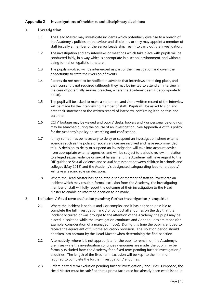#### <span id="page-14-0"></span>**Appendix 2 Investigations of incidents and disciplinary decisions**

#### 1 **Investigation**

- 1.1 The Head Master may investigate incidents which potentially give rise to a breach of the Academy's policies on behaviour and discipline, or they may appoint a member of staff (usually a member of the Senior Leadership Team) to carry out the investigation.
- 1.2 The investigation and any interviews or meetings which take place with pupils will be conducted fairly, in a way which is appropriate in a school environment, and without being formal or legalistic in nature.
- 1.3 The pupils involved will be interviewed as part of the investigation and given the opportunity to state their version of events.
- 1.4 Parents do *not* need to be notified in advance that interviews are taking place, and their consent is not required (although they may be invited to attend an interview in the case of potentially serious breaches, where the Academy deems it appropriate to do so).
- 1.5 The pupil will be asked to make a statement, and / or a written record of the interview will be made by the interviewing member of staff. Pupils will be asked to sign and date their statement or the written record of interview, confirming it to be true and accurate.
- 1.6 CCTV footage may be viewed and pupils' desks, lockers and / or personal belongings may be searched during the course of an investigation. See Appendix 4 of this policy for the Academy's policy on searching and confiscation.
- 1.7 It may sometimes be necessary to delay or suspend an investigation where external agencies such as the police or social services are involved and have recommended this. A decision to delay or suspend an investigation will take into account advice from appropriate external agencies, and will be subject to periodic review. In relation to alleged sexual violence or sexual harassment, the Academy will have regard to the DfE guidance Sexual violence and sexual harassment between children in schools and colleges (May 2018) and the Academy's designated safeguarding lead (or a deputy) will take a leading role on decisions.
- 1.8 Where the Head Master has appointed a senior member of staff to investigate an incident which may result in formal exclusion from the Academy, the investigating member of staff will fully report the outcome of their investigation to the Head Master to enable an informed decision to be made.

#### 2 **Isolation / fixed term exclusion pending further investigation / enquiries**

- 2.1 Where the incident is serious and / or complex and it has not been possible to complete the full investigation and / or conduct all enquiries on the day that the incident occurred or was brought to the attention of the Academy, the pupil may be placed in isolation while the investigation continues and / or enquiries are made (for example, consideration of a managed move). During this time the pupil is entitled to receive the equivalent of full-time education provision. The isolation period should be taken into account by the Head Master when determining the final sanction.
- 2.2 Alternatively, where it is not appropriate for the pupil to remain on the Academy's premises while the investigation continues / enquiries are made, the pupil may be formally excluded from the Academy for a fixed term pending further investigation / enquiries. The length of the fixed term exclusion will be kept to the minimum required to complete the further investigation / enquiries.
- 2.3 Before a fixed term exclusion pending further investigation / enquiries is imposed, the Head Master must be satisfied that a prima facie case has already been established in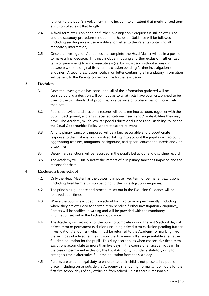relation to the pupil's involvement in the incident to an extent that merits a fixed term exclusion of at least that length.

- 2.4 A fixed term exclusion pending further investigation / enquiries is still an exclusion, and the statutory procedure set out in the Exclusion Guidance will be followed (including sending an exclusion notification letter to the Parents containing all mandatory information).
- 2.5 Once the investigation / enquiries are complete, the Head Master will be in a position to make a final decision. This may include imposing a further exclusion (either fixed term or permanent) to run consecutively (i.e. back-to-back, without a break in between) with the original fixed term exclusion pending further investigation / enquiries. A second exclusion notification letter containing all mandatory information will be sent to the Parents confirming the further exclusion.

#### 3 **Decision**

- 3.1 Once the investigation has concluded, all of the information gathered will be considered and a decision will be made as to what facts have been established to be true, to the civil standard of proof (i.e. on a balance of probabilities, or more likely than not).
- 3.2 Pupils' behaviour and discipline records will be taken into account, together with the pupils' background, and any special educational needs and / or disabilities they may have. The Academy will follow its Special Educational Needs and Disability Policy and the Equal Opportunities Policy, where these are relevant.
- 3.3 All disciplinary sanctions imposed will be a fair, reasonable and proportionate response to the misbehaviour involved, taking into account the pupil's own account, aggravating features, mitigation, background, and special educational needs and / or disabilities.
- 3.4 Disciplinary sanctions will be recorded in the pupil's behaviour and discipline record.
- 3.5 The Academy will usually notify the Parents of disciplinary sanctions imposed and the reasons for them.

#### 4 **Exclusion from school**

- 4.1 Only the Head Master has the power to impose fixed term or permanent exclusions (including fixed term exclusion pending further investigation / enquiries).
- 4.2 The principles, guidance and procedure set out in the Exclusion Guidance will be followed at all times.
- 4.3 Where the pupil is excluded from school for fixed term or permanently (including where they are excluded for a fixed term pending further investigation / enquiries), Parents will be notified in writing and will be provided with the mandatory information set out in the Exclusion Guidance.
- 4.4 The Academy will set work for the pupil to complete during the first 5 school days of a fixed term or permanent exclusion (including a fixed term exclusion pending further investigation / enquiries), which must be returned to the Academy for marking. From the sixth day of a fixed term exclusion, the Academy will arrange suitable alternative full-time education for the pupil. This duty also applies when consecutive fixed term exclusions accumulate to more than five days in the course of an academic year. In the case of permanent exclusion, the Local Authority is under a statutory duty to arrange suitable alternative full-time education from the sixth day.
- 4.5 Parents are under a legal duty to ensure that their child is not present in a public place (including on or outside the Academy's site) during normal school hours for the first five school days of any exclusion from school, unless there is reasonable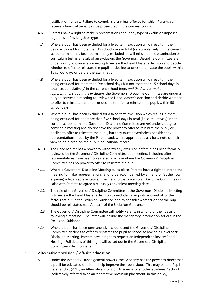justification for this. Failure to comply is a criminal offence for which Parents can receive a financial penalty or be prosecuted in the criminal courts.

- 4.6 Parents have a right to make representations about any type of exclusion imposed, regardless of its length or type.
- 4.7 Where a pupil has been excluded for a fixed term exclusion which results in them being excluded for more than 15 school days in total (i.e. cumulatively) in the current school term, or has been permanently excluded, or will miss a public examination or curriculum test as a result of an exclusion, the Governors' Discipline Committee are under a duty to convene a meeting to review the Head Master's decision and decide whether to offer to reinstate the pupil, or decline to offer to reinstate the pupil, within 15 school days or before the examination.
- 4.8 Where a pupil has been excluded for a fixed term exclusion which results in them being excluded for more than five school days but not more than 15 school days in total (i.e. cumulatively) in the current school term, *and the Parents make representations about the exclusion*, the Governors' Discipline Committee are under a duty to convene a meeting to review the Head Master's decision and decide whether to offer to reinstate the pupil, or decline to offer to reinstate the pupil, within 50 school days.
- 4.9 Where a pupil has been excluded for a fixed term exclusion which results in them being excluded for not more than five school days in total (i.e. cumulatively) in the current school term, the Governors' Discipline Committee are *not* under a duty to convene a meeting and do *not* have the power to offer to reinstate the pupil, or decline to offer to reinstate the pupil, but they must nevertheless consider any representations made by the Parents and, where appropriate, ask for a note of their view to be placed on the pupil's educational record.
- 4.10 The Head Master has a power to withdraw any exclusion before it has been formally reviewed by the Governors' Discipline Committee at a meeting, including after representations have been considered in a case where the Governors' Discipline Committee has no power to offer to reinstate the pupil.
- 4.11 Where a Governors' Discipline Meeting takes place, Parents have a right to attend the meeting to make representations, and to be accompanied by a friend or (at their own expense) a legal representative. The Clerk to the Governors' Discipline Committee will liaise with Parents to agree a mutually convenient meeting date.
- 4.12 The role of the Governors' Discipline Committee at the Governors' Discipline Meeting is to review the Head Master's decision to exclude, taking into account all of the factors set out in the Exclusion Guidance, and to consider whether or not the pupil should be reinstated (see Annex 1 of the Exclusion Guidance).
- 4.13 The Governors' Discipline Committee will notify Parents in writing of their decision following a meeting. The letter will include the mandatory information set out in the Exclusion Guidance.
- 4.14 Where a pupil has been permanently excluded and the Governors' Discipline Committee declines to offer to reinstate the pupil to school following a Governors' Discipline Meeting, Parents have a right to request an Independent Review Panel Hearing. Full details of this right will be set out in the Governors' Discipline Committee's decision letter.

#### 5 **Alternative provision / off-site education**

5.1 Under the Academy Trust's general powers, the Academy has the power to direct that a pupil be educated off-site to help improve their behaviour. This may be to a Pupil Referral Unit (PRU), an Alternative Provision Academy, or another academy / school (collectively referred to as an 'alternative provision placement' in this policy).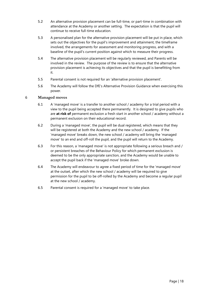- 5.2 An alternative provision placement can be full-time, or part-time in combination with attendance at the Academy or another setting. The expectation is that the pupil will continue to receive full-time education.
- 5.3 A personalised plan for the alternative provision placement will be put in place, which sets out the objectives for the pupil's improvement and attainment, the timeframe involved, the arrangements for assessment and monitoring progress, and with a baseline of the pupil's current position against which to measure their progress.
- 5.4 The alternative provision placement will be regularly reviewed, and Parents will be involved in the review. The purpose of the review is to ensure that the alternative provision placement is achieving its objectives and that the pupil is benefitting from it.
- 5.5 Parental consent is not required for an 'alternative provision placement'.
- 5.6 The Academy will follow the DfE's Alternative Provision Guidance when exercising this power.

#### 6 **Managed moves**

- 6.1 A 'managed move' is a transfer to another school / academy for a trial period with a view to the pupil being accepted there permanently. It is designed to give pupils who are **at risk of** permanent exclusion a fresh start in another school / academy without a permanent exclusion on their educational record.
- 6.2 During a 'managed move', the pupil will be dual registered, which means that they will be registered at both the Academy and the new school / academy. If the 'managed move' breaks down, the new school / academy will bring the 'managed move' to an end and off-roll the pupil, and the pupil will return to the Academy.
- 6.3 For this reason, a 'managed move' is not appropriate following a serious breach and / or persistent breaches of the Behaviour Policy for which permanent exclusion is deemed to be the only appropriate sanction, and the Academy would be unable to accept the pupil back if the 'managed move' broke down.
- 6.4 The Academy will endeavour to agree a fixed period of time for the 'managed move' at the outset, after which the new school / academy will be required to give permission for the pupil to be off-rolled by the Academy and become a regular pupil at the new school / academy.
- 6.5 Parental consent is required for a 'managed move' to take place.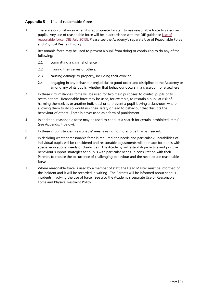#### <span id="page-18-0"></span>**Appendix 3 Use of reasonable force**

- 1 There are circumstances when it is appropriate for staff to use reasonable force to safeguard pupils. Any use of reasonable force will be in accordance with the DfE guidance [Use](https://www.gov.uk/government/publications/use-of-reasonable-force-in-schools) of [reasonable](https://www.gov.uk/government/publications/use-of-reasonable-force-in-schools) force (DfE, July 2013). Please see the Academy's separate Use of Reasonable Force and Physical Restraint Policy.
- 2 Reasonable force may be used to prevent a pupil from doing or continuing to do any of the following:
	- 2.1 committing a criminal offence;
	- 2.2 injuring themselves or others;
	- 2.3 causing damage to property, including their own; or
	- 2.4 engaging in any behaviour prejudicial to good order and discipline at the Academy or among any of its pupils, whether that behaviour occurs in a classroom or elsewhere
- 3 In these circumstances, force will be used for two main purposes: to control pupils or to restrain them. Reasonable force may be used, for example, to restrain a pupil at risk of harming themselves or another individual or to prevent a pupil leaving a classroom where allowing them to do so would risk their safety or lead to behaviour that disrupts the behaviour of others. Force is never used as a form of punishment.
- 4 In addition, reasonable force may be used to conduct a search for certain 'prohibited items' (see [Appendix 4](#page-19-0) below).
- 5 In these circumstances, 'reasonable' means using no more force than is needed.
- 6 In deciding whether reasonable force is required, the needs and particular vulnerabilities of individual pupils will be considered and reasonable adjustments will be made for pupils with special educational needs or disabilities. The Academy will establish proactive and positive behaviour support strategies for pupils with particular needs, in consultation with their Parents, to reduce the occurrence of challenging behaviour and the need to use reasonable force.
- 7 Where reasonable force is used by a member of staff, the Head Master must be informed of the incident and it will be recorded in writing. The Parents will be informed about serious incidents involving the use of force. See also the Academy's separate Use of Reasonable Force and Physical Restraint Policy.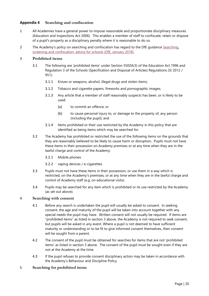#### <span id="page-19-0"></span>**Appendix 4 Searching and confiscation**

- 1 All Academies have a general power to impose reasonable and proportionate disciplinary measures (Education and Inspections Act 2006). This enables a member of staff to confiscate, retain or dispose of a pupil's property as a disciplinary penalty where it is reasonable to do so.
- 2 The Academy's policy on searching and confiscation has regard to the DfE guidance [Searching,](https://www.gov.uk/government/publications/searching-screening-and-confiscation) screening and [confiscation:](https://www.gov.uk/government/publications/searching-screening-and-confiscation) advice for schools (DfE, January 2018).

#### 3 **Prohibited items**

- 3.1 The following are 'prohibited items' under Section 550ZA(3) of the Education Act 1996 and Regulation 3 of the Schools (Specification and Disposal of Articles) Regulations (SI 2012 / 951):
	- 3.1.1 Knives or weapons, alcohol, illegal drugs and stolen items;
	- 3.1.2 Tobacco and cigarette papers, fireworks and pornographic images;
	- 3.1.3 Any article that a member of staff reasonably suspects has been, or is likely to be used:
		- (a) to commit an offence; or
		- (b) to cause personal injury to, or damage to the property of, any person (including the pupil); and
	- 3.1.4 Items prohibited or their use restricted by the Academy in this policy that are identified as being items which may be searched for.
- 3.2 The Academy has prohibited or restricted the use of the following items on the grounds that they are reasonably believed to be likely to cause harm or disruption. Pupils must not have these items in their possession on Academy premises or at any time when they are in the lawful charge and control of the Academy:
	- 3.2.1 Mobile phones
	- 3.2.2 vaping devices / e-cigarettes
- 3.3 Pupils must not have these items in their possession, or use them in a way which is restricted, on the Academy's premises, or at any time when they are in the lawful charge and control of Academy staff (e.g. on educational visits).
- 3.4 Pupils may be searched for any item which is prohibited or its use restricted by the Academy (as set out above).

#### 4 **Searching with consent**

- 4.1 Before any search is undertaken the pupil will usually be asked to consent. In seeking consent, the age and maturity of the pupil will be taken into account together with any special needs the pupil may have. Written consent will not usually be required. If items are "prohibited items" as listed in section 3 above, the Academy is not required to seek consent, but pupils will be asked in any event. Where a pupil is not deemed to have sufficient maturity or understanding or to be fit to give informed consent themselves, then consent will be sought from a parent.
- 4.2 The consent of the pupil must be obtained for searches for items that are not 'prohibited items' as listed in section 3 above. The consent of the pupil must be sought even if they are not at the Academy at the time.
- 4.3 If the pupil refuses to provide consent disciplinary action may be taken in accordance with the Academy's Behaviour and Discipline Policy.

#### 5 **Searching for prohibited items**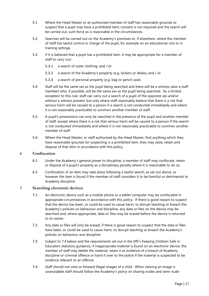- 5.1 Where the Head Master or an authorised member of staff has reasonable grounds to suspect that a pupil may have a prohibited item, consent is not required and the search will be carried out, such force as is reasonable in the circumstances.
- 5.2 Searches will be carried out on the Academy's premises or, if elsewhere, where the member of staff has lawful control or charge of the pupil, for example on an educational visit or in training settings.
- 5.3 If it is believed that a pupil has a prohibited item, it may be appropriate for a member of staff to carry out:
	- 5.3.1 a search of outer clothing; and / or
	- 5.3.2 a search of the Academy's property (e.g. lockers or desks); and / or
	- 5.3.3 a search of personal property (e.g. bag or pencil case).
- 5.4 Staff will be the same sex as the pupil being searched and there will be a witness (also a staff member) who, if possible, will be the same sex as the pupil being searched. As a limited exception to this rule, staff can carry out a search of a pupil of the opposite sex and/or without a witness present, but only where staff reasonably believe that there is a risk that serious harm will be caused to a person if a search is not conducted immediately and where it is not reasonably practicable to summon another member of staff.
- 5.5 A pupil's possessions can only be searched in the presence of the pupil and another member of staff, except where there is a risk that serious harm will be caused to a person if the search is not conducted immediately and where it is not reasonably practicable to summon another member of staff.
- 5.6 Where the Head Master, or staff authorised by the Head Master, find anything which they have reasonable grounds for suspecting is a prohibited item, they may seize, retain and dispose of that item in accordance with this policy.

#### 6 **Confiscation**

- 6.1 Under the Academy's general power to discipline, a member of staff may confiscate, retain or dispose of a pupil's property as a disciplinary penalty where it is reasonable to do so.
- 6.2 Confiscation of an item may take place following a lawful search, as set out above, or however the item is found if the member of staff considers it to be harmful or detrimental to Academy discipline.

#### 7 **Searching electronic devices**

- 7.1 An electronic device such as a mobile phone or a tablet computer may be confiscated in appropriate circumstances in accordance with this policy. If there is good reason to suspect that the device has been, or could be used to cause harm, to disrupt teaching or breach the Academy's policies on behaviour and discipline, any data or files on the device may be searched and, where appropriate, data or files may be erased before the device is returned to its owner.
- 7.2 Any data or files will only be erased, if there is good reason to suspect that the data or files have been, or could be used to cause harm, to disrupt teaching or breach the Academy's policies on behaviour and discipline.
- 7.3 Subject to 7.4 below and the requirements set out in the DfE's Keeping Children Safe in Education statutory guidance, if inappropriate material is found on an electronic device, the member of staff may delete the material, retain it as evidence of a breach of Academy discipline or criminal offence or hand it over to the police if the material is suspected to be evidence relevant to an offence.
- 7.4 Staff should not view or forward illegal images of a child. When viewing an image is unavoidable staff should follow the Academy's policy on sharing nudes and semi-nude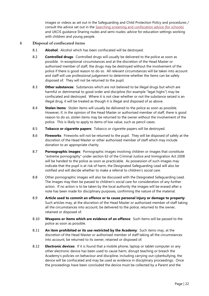images or videos as set out in the Safeguarding and Child Protection Policy and procedures / consult the advice set out in the Searching screening and [confiscation](https://www.gov.uk/government/publications/searching-screening-and-confiscation) advice (for schools) and UKCIS guidance Sharing nudes and semi-nudes: advice for education settings working with children and young people.

#### 8 **Disposal of confiscated items**

- 8.1 **Alcohol**: Alcohol which has been confiscated will be destroyed.
- 8.2 **Controlled drugs**: Controlled drugs will usually be delivered to the police as soon as possible. In exceptional circumstances and at the discretion of the Head Master or authorised member of staff, the drugs may be destroyed without the involvement of the police if there is good reason to do so. All relevant circumstances will be taken into account and staff will use professional judgement to determine whether the items can be safely disposed of. They will not be returned to the pupil.
- 8.3 **Other substances**: Substances which are not believed to be illegal drugs but which are harmful or detrimental to good order and discipline (for example "legal highs") may be confiscated and destroyed. Where it is not clear whether or not the substance seized is an illegal drug, it will be treated as though it is illegal and disposed of as above.
- 8.4 **Stolen items**: Stolen items will usually be delivered to the police as soon as possible. However, if, in the opinion of the Head Master or authorised member of staff, there is good reason to do so, stolen items may be returned to the owner without the involvement of the police. This is likely to apply to items of low value, such as pencil cases.
- 8.5 **Tobacco or cigarette papers**: Tobacco or cigarette papers will be destroyed.
- 8.6 **Fireworks**: Fireworks will not be returned to the pupil. They will be disposed of safely at the discretion of the Head Master or other authorised member of staff which may include donation to an appropriate charity.
- 8.7 **Pornographic images**: Pornographic images involving children or images that constitute "extreme pornography" under section 63 of the Criminal Justice and Immigration Act 2008 will be handed to the police as soon as practicable. As possession of such images may indicate that the pupil is at risk of harm, the Designated Safeguarding Lead will also be notified and will decide whether to make a referral to children's social care.
- 8.8 Other pornographic images will also be discussed with the Designated Safeguarding Lead. The images may then be passed to children's social care for consideration of any further action. If no action is to be taken by the local authority the images will be erased after a note has been made for disciplinary purposes, confirming the nature of the material.
- 8.9 **Article used to commit an offence or to cause personal injury or damage to property**: Such articles may, at the discretion of the Head Master or authorised member of staff taking all the circumstances into account, be delivered to the police, returned to the owner, retained or disposed of.
- 8.10 **Weapons or items which are evidence of an offence**: Such items will be passed to the police as soon as possible.
- 8.11 **An item prohibited or its use restricted by the Academy**: Such items may, at the discretion of the Head Master or authorised member of staff taking all the circumstances into account, be returned to its owner, retained or disposed of.
- 8.12 **Electronic devices**: If it is found that a mobile phone, laptop or tablet computer or any other electronic device has been used to cause harm, disrupt teaching or breach the Academy's policies on behaviour and discipline, including carrying out cyberbullying, the device will be confiscated and may be used as evidence in disciplinary proceedings. Once the proceedings have been concluded the device must be collected by a Parent and the